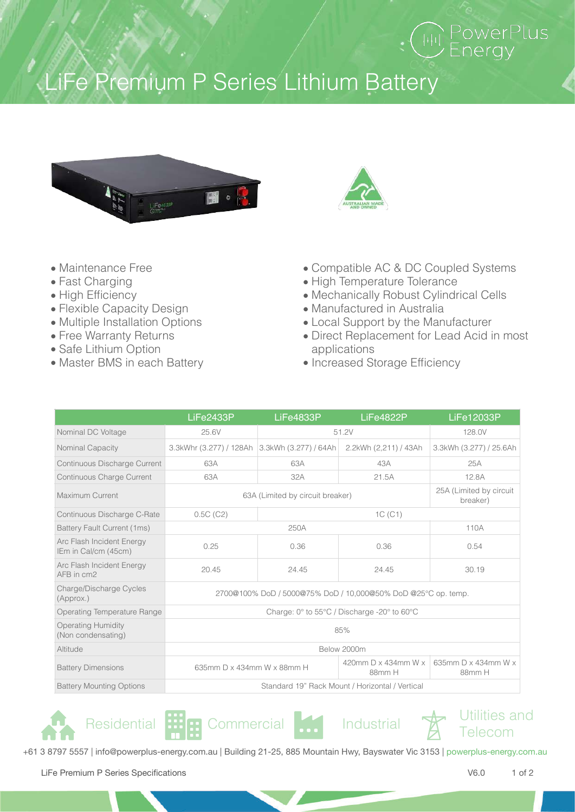## LiFe Premium P Series Lithium Battery



- Maintenance Free
- Fast Charging
- High Efficiency
- Flexible Capacity Design
- Multiple Installation Options
- Free Warranty Returns
- Safe Lithium Option
- Master BMS in each Battery
- Compatible AC & DC Coupled Systems
- High Temperature Tolerance
- Mechanically Robust Cylindrical Cells
- Manufactured in Australia
- Local Support by the Manufacturer
- Direct Replacement for Lead Acid in most applications
- Increased Storage Efficiency

|                                                   | LiFe2433P                                                     | LiFe4833P | LiFe4822P                          | LiFe12033P                          |  |
|---------------------------------------------------|---------------------------------------------------------------|-----------|------------------------------------|-------------------------------------|--|
| Nominal DC Voltage                                | 25.6V                                                         | 51.2V     |                                    | 128.0V                              |  |
| Nominal Capacity                                  | 3.3kWhr (3.277) / 128Ah 3.3kWh (3.277) / 64Ah                 |           | 2.2kWh (2,211) / 43Ah              | 3.3kWh (3.277) / 25.6Ah             |  |
| Continuous Discharge Current                      | 63A                                                           | 63A       | 43A                                | 25A                                 |  |
| Continuous Charge Current                         | 63A                                                           | 32A       | 21.5A                              | 12.8A                               |  |
| Maximum Current                                   | 63A (Limited by circuit breaker)                              |           |                                    | 25A (Limited by circuit<br>breaker) |  |
| Continuous Discharge C-Rate                       | 0.5C(C2)                                                      | 1C(C1)    |                                    |                                     |  |
| Battery Fault Current (1ms)                       |                                                               | 250A      |                                    | 110A                                |  |
| Arc Flash Incident Energy<br>IEm in Cal/cm (45cm) | 0.25                                                          | 0.36      | 0.36                               | 0.54                                |  |
| Arc Flash Incident Energy<br>AFB in cm2           | 20.45                                                         | 24.45     | 24.45                              | 30.19                               |  |
| Charge/Discharge Cycles<br>(Approx.)              | 2700@100% DoD / 5000@75% DoD / 10,000@50% DoD @25°C op. temp. |           |                                    |                                     |  |
| Operating Temperature Range                       | Charge: 0° to 55°C / Discharge -20° to 60°C                   |           |                                    |                                     |  |
| <b>Operating Humidity</b><br>(Non condensating)   | 85%                                                           |           |                                    |                                     |  |
| Altitude                                          | Below 2000m                                                   |           |                                    |                                     |  |
| <b>Battery Dimensions</b>                         | 635mm D x 434mm W x 88mm H<br>88mm H                          |           | 420mm $D \times 434$ mm W $\times$ | 635mm D x 434mm W x<br>88mm H       |  |
| <b>Battery Mounting Options</b>                   | Standard 19" Rack Mount / Horizontal / Vertical               |           |                                    |                                     |  |











+61 3 8797 5557 | info@powerplus-energy.com.au | Building 21-25, 885 Mountain Hwy, Bayswater Vic 3153 | powerplus-energy.com.au

LiFe Premium P Series Specifications **V6.0** 1 of 2